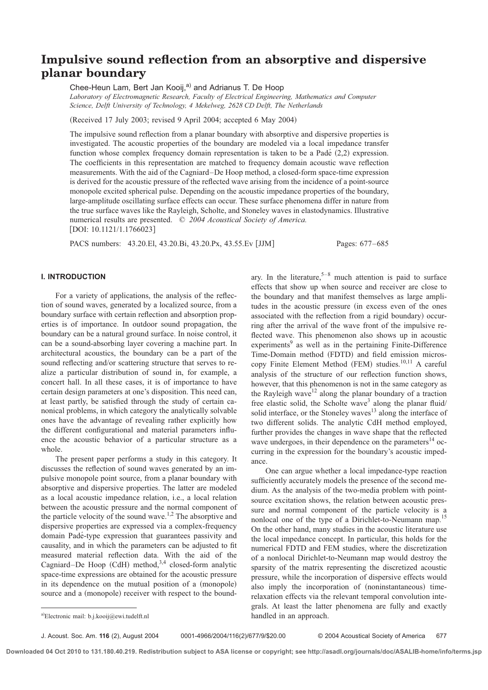# **Impulsive sound reflection from an absorptive and dispersive planar boundary**

Chee-Heun Lam, Bert Jan Kooii.<sup>a)</sup> and Adrianus T. De Hoop *Laboratory of Electromagnetic Research, Faculty of Electrical Engineering, Mathematics and Computer Science, Delft University of Technology, 4 Mekelweg, 2628 CD Delft, The Netherlands*

(Received 17 July 2003; revised 9 April 2004; accepted 6 May 2004)

The impulsive sound reflection from a planar boundary with absorptive and dispersive properties is investigated. The acoustic properties of the boundary are modeled via a local impedance transfer function whose complex frequency domain representation is taken to be a Padé  $(2,2)$  expression. The coefficients in this representation are matched to frequency domain acoustic wave reflection measurements. With the aid of the Cagniard–De Hoop method, a closed-form space-time expression is derived for the acoustic pressure of the reflected wave arising from the incidence of a point-source monopole excited spherical pulse. Depending on the acoustic impedance properties of the boundary, large-amplitude oscillating surface effects can occur. These surface phenomena differ in nature from the true surface waves like the Rayleigh, Scholte, and Stoneley waves in elastodynamics. Illustrative numerical results are presented. © *2004 Acoustical Society of America.*  $[DOI: 10.1121/1.1766023]$ 

PACS numbers: 43.20.El, 43.20.Bi, 43.20.Px, 43.55.Ev [JJM] Pages: 677–685

## **I. INTRODUCTION**

For a variety of applications, the analysis of the reflection of sound waves, generated by a localized source, from a boundary surface with certain reflection and absorption properties is of importance. In outdoor sound propagation, the boundary can be a natural ground surface. In noise control, it can be a sound-absorbing layer covering a machine part. In architectural acoustics, the boundary can be a part of the sound reflecting and/or scattering structure that serves to realize a particular distribution of sound in, for example, a concert hall. In all these cases, it is of importance to have certain design parameters at one's disposition. This need can, at least partly, be satisfied through the study of certain canonical problems, in which category the analytically solvable ones have the advantage of revealing rather explicitly how the different configurational and material parameters influence the acoustic behavior of a particular structure as a whole.

The present paper performs a study in this category. It discusses the reflection of sound waves generated by an impulsive monopole point source, from a planar boundary with absorptive and dispersive properties. The latter are modeled as a local acoustic impedance relation, i.e., a local relation between the acoustic pressure and the normal component of the particle velocity of the sound wave.<sup>1,2</sup> The absorptive and dispersive properties are expressed via a complex-frequency domain Pade´-type expression that guarantees passivity and causality, and in which the parameters can be adjusted to fit measured material reflection data. With the aid of the Cagniard–De Hoop  $(CdH)$  method,<sup>3,4</sup> closed-form analytic space-time expressions are obtained for the acoustic pressure in its dependence on the mutual position of a (monopole) source and a (monopole) receiver with respect to the boundary. In the literature,<sup>5–8</sup> much attention is paid to surface effects that show up when source and receiver are close to the boundary and that manifest themselves as large amplitudes in the acoustic pressure (in excess even of the ones associated with the reflection from a rigid boundary) occurring after the arrival of the wave front of the impulsive reflected wave. This phenomenon also shows up in acoustic experiments<sup>9</sup> as well as in the pertaining Finite-Difference Time-Domain method (FDTD) and field emission microscopy Finite Element Method  $(FEM)$  studies.<sup>10,11</sup> A careful analysis of the structure of our reflection function shows, however, that this phenomenon is not in the same category as the Rayleigh wave<sup>12</sup> along the planar boundary of a traction free elastic solid, the Scholte wave<sup>3</sup> along the planar fluid/ solid interface, or the Stoneley waves $13$  along the interface of two different solids. The analytic CdH method employed, further provides the changes in wave shape that the reflected wave undergoes, in their dependence on the parameters<sup>14</sup> occurring in the expression for the boundary's acoustic impedance.

One can argue whether a local impedance-type reaction sufficiently accurately models the presence of the second medium. As the analysis of the two-media problem with pointsource excitation shows, the relation between acoustic pressure and normal component of the particle velocity is a nonlocal one of the type of a Dirichlet-to-Neumann map.<sup>15</sup> On the other hand, many studies in the acoustic literature use the local impedance concept. In particular, this holds for the numerical FDTD and FEM studies, where the discretization of a nonlocal Dirichlet-to-Neumann map would destroy the sparsity of the matrix representing the discretized acoustic pressure, while the incorporation of dispersive effects would also imply the incorporation of (noninstantaneous) timerelaxation effects via the relevant temporal convolution integrals. At least the latter phenomena are fully and exactly

J. Acoust. Soc. Am. **116** (2), August 2004 0001-4966/2004/116(2)/677/9/\$20.00 © 2004 Acoustical Society of America 677

a)Electronic mail: b.j.kooij@ewi.tudelft.nl handled in an approach.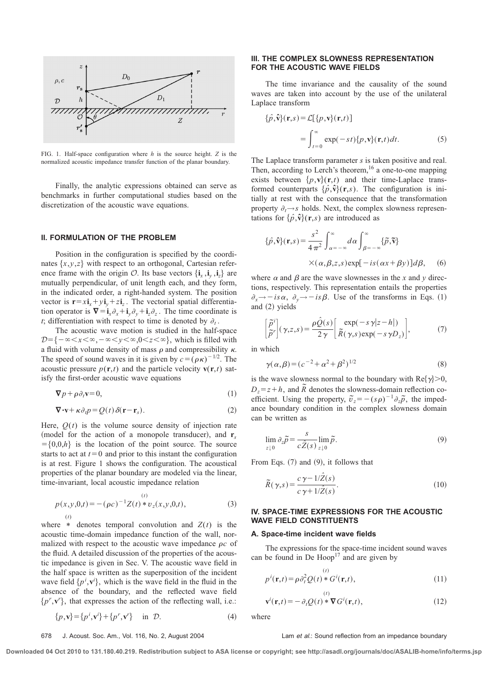

FIG. 1. Half-space configuration where *h* is the source height. *Z* is the normalized acoustic impedance transfer function of the planar boundary.

Finally, the analytic expressions obtained can serve as benchmarks in further computational studies based on the discretization of the acoustic wave equations.

## **II. FORMULATION OF THE PROBLEM**

Position in the configuration is specified by the coordinates  $\{x,y,z\}$  with respect to an orthogonal, Cartesian reference frame with the origin  $\mathcal{O}$ . Its base vectors  $\{\mathbf{i}_x, \mathbf{i}_y, \mathbf{i}_z\}$  are mutually perpendicular, of unit length each, and they form, in the indicated order, a right-handed system. The position vector is  $\mathbf{r} = x\mathbf{i}_x + y\mathbf{i}_y + z\mathbf{i}_z$ . The vectorial spatial differentiation operator is  $\nabla = \mathbf{i}_x \partial_x + \mathbf{i}_y \partial_y + \mathbf{i}_z \partial_z$ . The time coordinate is *t*; differentiation with respect to time is denoted by  $\partial_t$ .

The acoustic wave motion is studied in the half-space  $D=\{-\infty\leq x<\infty, -\infty\leq y<\infty, 0\leq z<\infty\}$ , which is filled with a fluid with volume density of mass  $\rho$  and compressibility  $\kappa$ . The speed of sound waves in it is given by  $c = (\rho \kappa)^{-1/2}$ . The acoustic pressure  $p(\mathbf{r},t)$  and the particle velocity  $\mathbf{v}(\mathbf{r},t)$  satisfy the first-order acoustic wave equations

$$
\nabla p + \rho \partial_t \mathbf{v} = 0,\tag{1}
$$

$$
\nabla \cdot \mathbf{v} + \kappa \partial_t p = Q(t) \, \delta(\mathbf{r} - \mathbf{r}_s). \tag{2}
$$

Here,  $Q(t)$  is the volume source density of injection rate (model for the action of a monopole transducer), and  $\mathbf{r}_s$  $= \{0,0,h\}$  is the location of the point source. The source starts to act at  $t=0$  and prior to this instant the configuration is at rest. Figure 1 shows the configuration. The acoustical properties of the planar boundary are modeled via the linear, time-invariant, local acoustic impedance relation

$$
p(x, y, 0, t) = -(\rho c)^{-1} Z(t) * v_z(x, y, 0, t),
$$
  
(*t*) (3)

where  $*$  denotes temporal convolution and  $Z(t)$  is the acoustic time-domain impedance function of the wall, normalized with respect to the acoustic wave impedance  $\rho c$  of the fluid. A detailed discussion of the properties of the acoustic impedance is given in Sec. V. The acoustic wave field in the half space is written as the superposition of the incident wave field  $\{p^i, \mathbf{v}^i\}$ , which is the wave field in the fluid in the absence of the boundary, and the reflected wave field  $\{p^r, \mathbf{v}^r\}$ , that expresses the action of the reflecting wall, i.e.:

$$
\{p,\mathbf{v}\} = \{p^i,\mathbf{v}^i\} + \{p^r,\mathbf{v}^r\} \quad \text{in } \mathcal{D}.\tag{4}
$$

## **III. THE COMPLEX SLOWNESS REPRESENTATION FOR THE ACOUSTIC WAVE FIELDS**

The time invariance and the causality of the sound waves are taken into account by the use of the unilateral Laplace transform

$$
\{\hat{p}, \hat{\mathbf{v}}\}(\mathbf{r}, s) = \mathcal{L}[\{p, \mathbf{v}\}(\mathbf{r}, t)]
$$
  
= 
$$
\int_{t=0}^{\infty} \exp(-st)\{p, \mathbf{v}\}(\mathbf{r}, t) dt.
$$
 (5)

The Laplace transform parameter *s* is taken positive and real. Then, according to Lerch's theorem,<sup>16</sup> a one-to-one mapping exists between  $\{p, v\}(\mathbf{r}, t)$  and their time-Laplace transformed counterparts  $\{\hat{p}, \hat{\mathbf{v}}\}(\mathbf{r}, s)$ . The configuration is initially at rest with the consequence that the transformation property  $\partial_t \rightarrow s$  holds. Next, the complex slowness representations for  $\{\hat{p}, \hat{v}\}(\mathbf{r}, s)$  are introduced as

$$
\{\hat{p}, \hat{\mathbf{v}}\}(\mathbf{r}, s) = \frac{s^2}{4\pi^2} \int_{\alpha = -\infty}^{\infty} d\alpha \int_{\beta = -\infty}^{\infty} {\{\tilde{p}, \tilde{\mathbf{v}}\}}
$$

$$
\times (\alpha, \beta, z, s) \exp[-is(\alpha x + \beta y)] d\beta, \quad (6)
$$

where  $\alpha$  and  $\beta$  are the wave slownesses in the *x* and *y* directions, respectively. This representation entails the properties  $\partial_x \rightarrow -i s \alpha$ ,  $\partial_y \rightarrow -i s \beta$ . Use of the transforms in Eqs. (1) and  $(2)$  yields

$$
\left[\frac{\tilde{p}^i}{\tilde{p}^r}\right](\gamma, z, s) = \frac{\rho \hat{Q}(s)}{2\gamma} \left[\frac{\exp(-s\gamma|z - h|)}{\tilde{R}(\gamma, s)\exp(-s\gamma D_z)}\right],\tag{7}
$$

in which

$$
\gamma(\alpha, \beta) = (c^{-2} + \alpha^2 + \beta^2)^{1/2}
$$
 (8)

is the wave slowness normal to the boundary with  $\text{Re}\{\gamma\} > 0$ ,  $D_z = z + h$ , and  $\overline{R}$  denotes the slowness-domain reflection coefficient. Using the property,  $\tilde{v}_z = -(s\rho)^{-1} \partial_z \tilde{p}$ , the impedance boundary condition in the complex slowness domain can be written as

$$
\lim_{z \downarrow 0} \partial_z \widetilde{p} = \frac{s}{c \widetilde{Z}(s)} \lim_{z \downarrow 0} \widetilde{p}.
$$
\n(9)

From Eqs.  $(7)$  and  $(9)$ , it follows that

$$
\widetilde{R}(\gamma, s) = \frac{c \gamma - 1/\hat{Z}(s)}{c \gamma + 1/\hat{Z}(s)}.
$$
\n(10)

## **IV. SPACE-TIME EXPRESSIONS FOR THE ACOUSTIC WAVE FIELD CONSTITUENTS**

#### **A. Space-time incident wave fields**

The expressions for the space-time incident sound waves can be found in De  $Hoop<sup>17</sup>$  and are given by

$$
p^{i}(\mathbf{r},t) = \rho \partial_{t}^{2} Q(t) * G^{i}(\mathbf{r},t),
$$
\n(11)

$$
\mathbf{v}^{i}(\mathbf{r},t) = -\partial_{t}Q(t) * \nabla G^{i}(\mathbf{r},t),
$$
\n(12)

where

## 678 J. Acoust. Soc. Am., Vol. 116, No. 2, August 2004 Lam et al.: Sound reflection from an impedance boundary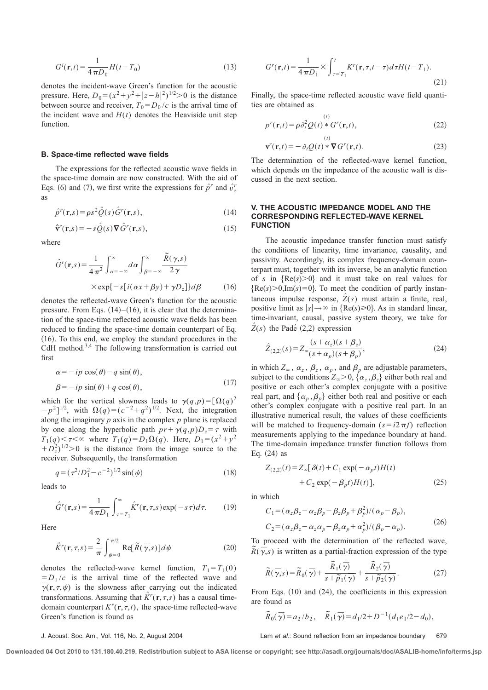$$
G^{i}(\mathbf{r},t) = \frac{1}{4\pi D_{0}}H(t - T_{0})
$$
\n(13)

denotes the incident-wave Green's function for the acoustic pressure. Here,  $D_0 = (x^2 + y^2 + |z - h|^2)^{1/2} > 0$  is the distance between source and receiver,  $T_0 = D_0/c$  is the arrival time of the incident wave and  $H(t)$  denotes the Heaviside unit step function.

#### **B. Space-time reflected wave fields**

The expressions for the reflected acoustic wave fields in the space-time domain are now constructed. With the aid of Eqs. (6) and (7), we first write the expressions for  $\hat{p}^r$  and  $\hat{v}^r$ as

$$
\hat{p}^r(\mathbf{r},s) = \rho s^2 \hat{Q}(s) \hat{G}^r(\mathbf{r},s),\tag{14}
$$

$$
\hat{\mathbf{v}}^{r}(\mathbf{r},s) = -s\hat{Q}(s)\nabla \hat{G}^{r}(\mathbf{r},s),
$$
\n(15)

where

$$
\hat{G}^{r}(\mathbf{r}, s) = \frac{1}{4\pi^{2}} \int_{\alpha = -\infty}^{\infty} d\alpha \int_{\beta = -\infty}^{\infty} \frac{\tilde{R}(\gamma, s)}{2\gamma} \times \exp\{-s[i(\alpha x + \beta y) + \gamma D_{z}]\} d\beta \tag{16}
$$

denotes the reflected-wave Green's function for the acoustic pressure. From Eqs.  $(14)$ – $(16)$ , it is clear that the determination of the space-time reflected acoustic wave fields has been reduced to finding the space-time domain counterpart of Eq.  $(16)$ . To this end, we employ the standard procedures in the CdH method.<sup>3,4</sup> The following transformation is carried out first

$$
\alpha = -ip\cos(\theta) - q\sin(\theta),
$$
  
\n
$$
\beta = -ip\sin(\theta) + q\cos(\theta),
$$
\n(17)

which for the vertical slowness leads to  $\gamma(q, p) = [\Omega(q)^2]$  $[-p^2]^{1/2}$ , with  $\Omega(q) = (c^{-2} + q^2)^{1/2}$ . Next, the integration along the imaginary *p* axis in the complex *p* plane is replaced by one along the hyperbolic path  $pr + \gamma(q, p)D_z = \tau$  with  $T_1(q) < \tau < \infty$  where  $T_1(q) = D_1 \Omega(q)$ . Here,  $D_1 = (x^2 + y^2)$  $(D<sub>z</sub><sup>2</sup>)<sup>1/2</sup>$  is the distance from the image source to the receiver. Subsequently, the transformation

$$
q = (\tau^2/D_1^2 - c^{-2})^{1/2} \sin(\psi)
$$
 (18)

leads to

$$
\hat{G}^r(\mathbf{r},s) = \frac{1}{4\pi D_1} \int_{\tau=T_1}^{\infty} \hat{K}^r(\mathbf{r},\tau,s) \exp(-s\,\tau) d\tau.
$$
 (19)

Here

$$
\hat{K}^r(\mathbf{r}, \tau, s) = \frac{2}{\pi} \int_{\psi=0}^{\pi/2} \text{Re}[\,\widetilde{R}(\,\overline{\gamma}, s\,)] d\psi \tag{20}
$$

denotes the reflected-wave kernel function,  $T_1 = T_1(0)$  $=$  $D_1/c$  is the arrival time of the reflected wave and  $\overline{\gamma}(\mathbf{r},\tau,\psi)$  is the slowness after carrying out the indicated transformations. Assuming that  $\hat{K}^r(\mathbf{r},\tau,s)$  has a causal timedomain counterpart  $K^r(\mathbf{r},\tau,t)$ , the space-time reflected-wave Green's function is found as

$$
G^{r}(\mathbf{r},t) = \frac{1}{4\pi D_{1}} \times \int_{\tau=T_{1}}^{t} K^{r}(\mathbf{r},\tau,t-\tau) d\tau H(t-T_{1}).
$$
\n(21)

Finally, the space-time reflected acoustic wave field quantities are obtained as

$$
p^{r}(\mathbf{r},t) = \rho \partial_{t}^{2} Q(t) * G^{r}(\mathbf{r},t),
$$
\n(22)

$$
\mathbf{v}^{r}(\mathbf{r},t) = -\partial_{t}Q(t) * \nabla G^{r}(\mathbf{r},t).
$$
 (23)

The determination of the reflected-wave kernel function, which depends on the impedance of the acoustic wall is discussed in the next section.

### **V. THE ACOUSTIC IMPEDANCE MODEL AND THE CORRESPONDING REFLECTED-WAVE KERNEL FUNCTION**

The acoustic impedance transfer function must satisfy the conditions of linearity, time invariance, causality, and passivity. Accordingly, its complex frequency-domain counterpart must, together with its inverse, be an analytic function of *s* in  ${Re(s) > 0}$  and it must take on real values for  ${Re(s) > 0, Im(s) = 0}$ . To meet the condition of partly instantaneous impulse response,  $\hat{Z}(s)$  must attain a finite, real, positive limit as  $|s| \rightarrow \infty$  in  $\{Re(s) \ge 0\}$ . As in standard linear, time-invariant, causal, passive system theory, we take for  $\hat{Z}(s)$  the Padé (2,2) expression

$$
\hat{Z}_{(2,2)}(s) = Z_{\infty} \frac{(s + \alpha_z)(s + \beta_z)}{(s + \alpha_p)(s + \beta_p)},
$$
\n(24)

in which  $Z_\infty$ ,  $\alpha_z$ ,  $\beta_z$ ,  $\alpha_p$ , and  $\beta_p$  are adjustable parameters, subject to the conditions  $Z_{\infty} > 0$ ,  $\{\alpha_z, \beta_z\}$  either both real and positive or each other's complex conjugate with a positive real part, and  $\{\alpha_p, \beta_p\}$  either both real and positive or each other's complex conjugate with a positive real part. In an illustrative numerical result, the values of these coefficients will be matched to frequency-domain  $(s=i2\pi f)$  reflection measurements applying to the impedance boundary at hand. The time-domain impedance transfer function follows from Eq.  $(24)$  as

$$
Z_{(2,2)}(t) = Z_{\infty} [\delta(t) + C_1 \exp(-\alpha_p t) H(t)
$$
  
+ 
$$
C_2 \exp(-\beta_p t) H(t)],
$$
 (25)

in which

$$
C_1 = (\alpha_z \beta_z - \alpha_z \beta_p - \beta_z \beta_p + \beta_p^2) / (\alpha_p - \beta_p),
$$
  
\n
$$
C_2 = (\alpha_z \beta_z - \alpha_z \alpha_p - \beta_z \alpha_p + \alpha_p^2) / (\beta_p - \alpha_p).
$$
\n(26)

To proceed with the determination of the reflected wave,  $\overline{R}(\overline{\gamma},s)$  is written as a partial-fraction expression of the type

$$
\widetilde{R}(\overline{\gamma},s) = \widetilde{R}_0(\overline{\gamma}) + \frac{\widetilde{R}_1(\overline{\gamma})}{s + \widetilde{p}_1(\overline{\gamma})} + \frac{\widetilde{R}_2(\overline{\gamma})}{s + \widetilde{p}_2(\overline{\gamma})}.
$$
\n(27)

From Eqs.  $(10)$  and  $(24)$ , the coefficients in this expression are found as

$$
\widetilde{R}_0(\overline{\gamma}) = a_2/b_2, \quad \widetilde{R}_1(\overline{\gamma}) = d_1/2 + D^{-1}(d_1e_1/2 - d_0),
$$

J. Acoust. Soc. Am., Vol. 116, No. 2, August 2004 Lam et al.: Sound reflection from an impedance boundary 679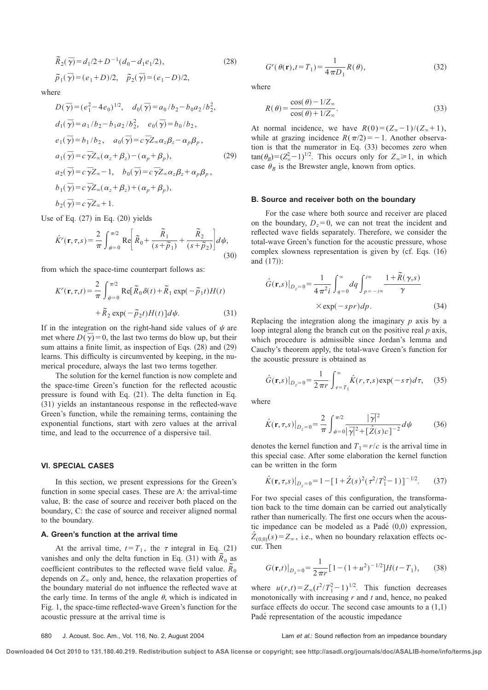$$
\widetilde{R}_2(\overline{\gamma}) = d_1/2 + D^{-1}(d_0 - d_1 e_1/2),
$$
\n
$$
\widetilde{p}_1(\overline{\gamma}) = (e_1 + D)/2, \quad \widetilde{p}_2(\overline{\gamma}) = (e_1 - D)/2,
$$
\n(28)

where

$$
D(\overline{\gamma}) = (e_1^2 - 4e_0)^{1/2}, \quad d_0(\overline{\gamma}) = a_0/b_2 - b_0a_2/b_2^2,
$$
  
\n
$$
d_1(\overline{\gamma}) = a_1/b_2 - b_1a_2/b_2^2, \quad e_0(\overline{\gamma}) = b_0/b_2,
$$
  
\n
$$
e_1(\overline{\gamma}) = b_1/b_2, \quad a_0(\overline{\gamma}) = c_1\overline{\gamma Z_{\infty}\alpha_z\beta_z} - \alpha_p\beta_p,
$$
  
\n
$$
a_1(\overline{\gamma}) = c_1\overline{\gamma Z_{\infty}}(\alpha_z + \beta_z) - (\alpha_p + \beta_p), \quad (29)
$$
  
\n
$$
a_2(\overline{\gamma}) = c_1\overline{\gamma Z_{\infty}} - 1, \quad b_0(\overline{\gamma}) = c_1\overline{\gamma Z_{\infty}}\alpha_z\beta_z + \alpha_p\beta_p,
$$
  
\n
$$
b_1(\overline{\gamma}) = c_1\overline{\gamma Z_{\infty}}(\alpha_z + \beta_z) + (\alpha_p + \beta_p),
$$
  
\n
$$
b_2(\overline{\gamma}) = c_1\overline{\gamma Z_{\infty}} + 1.
$$

Use of Eq.  $(27)$  in Eq.  $(20)$  yields

$$
\hat{K}^r(\mathbf{r}, \tau, s) = \frac{2}{\pi} \int_{\psi=0}^{\pi/2} \text{Re} \left[ \tilde{R}_0 + \frac{\tilde{R}_1}{(s + \tilde{p}_1)} + \frac{\tilde{R}_2}{(s + \tilde{p}_2)} \right] d\psi,
$$
\n(30)

from which the space-time counterpart follows as:

$$
K^{r}(\mathbf{r}, \tau, t) = \frac{2}{\pi} \int_{\psi=0}^{\pi/2} \text{Re}[\tilde{R}_{0} \delta(t) + \tilde{R}_{1} \exp(-\tilde{p}_{1}t)H(t) + \tilde{R}_{2} \exp(-\tilde{p}_{2}t)H(t)]d\psi.
$$
 (31)

If in the integration on the right-hand side values of  $\psi$  are met where  $D(\gamma)=0$ , the last two terms do blow up, but their sum attains a finite limit, as inspection of Eqs.  $(28)$  and  $(29)$ learns. This difficulty is circumvented by keeping, in the numerical procedure, always the last two terms together.

The solution for the kernel function is now complete and the space-time Green's function for the reflected acoustic pressure is found with Eq.  $(21)$ . The delta function in Eq. ~31! yields an instantaneous response in the reflected-wave Green's function, while the remaining terms, containing the exponential functions, start with zero values at the arrival time, and lead to the occurrence of a dispersive tail.

### **VI. SPECIAL CASES**

In this section, we present expressions for the Green's function in some special cases. These are A: the arrival-time value, B: the case of source and receiver both placed on the boundary, C: the case of source and receiver aligned normal to the boundary.

## **A. Green's function at the arrival time**

At the arrival time,  $t = T_1$ , the  $\tau$  integral in Eq. (21) vanishes and only the delta function in Eq. (31) with  $\tilde{R}_0$  as coefficient contributes to the reflected wave field value.  $\tilde{R}_0$ depends on  $Z_\infty$  only and, hence, the relaxation properties of the boundary material do not influence the reflected wave at the early time. In terms of the angle  $\theta$ , which is indicated in Fig. 1, the space-time reflected-wave Green's function for the acoustic pressure at the arrival time is

$$
G^{r}(\theta(\mathbf{r}), t = T_1) = \frac{1}{4 \pi D_1} R(\theta),
$$
\n(32)

where

$$
R(\theta) = \frac{\cos(\theta) - 1/Z_{\infty}}{\cos(\theta) + 1/Z_{\infty}}.
$$
\n(33)

At normal incidence, we have  $R(0)=(Z_{\infty}-1)/(Z_{\infty}+1)$ , while at grazing incidence  $R(\pi/2)=-1$ . Another observation is that the numerator in Eq.  $(33)$  becomes zero when  $tan(\theta_B)=(Z_\infty^2-1)^{1/2}$ . This occurs only for  $Z_\infty\geq 1$ , in which case  $\theta_R$  is the Brewster angle, known from optics.

#### **B. Source and receiver both on the boundary**

For the case where both source and receiver are placed on the boundary,  $D_z = 0$ , we can not treat the incident and reflected wave fields separately. Therefore, we consider the total-wave Green's function for the acoustic pressure, whose complex slowness representation is given by  $(cf. Eqs. (16)$ and  $(17)$ :

$$
\hat{G}(\mathbf{r},s)|_{D_z=0} = \frac{1}{4\pi^2 i} \int_{q=0}^{\infty} dq \int_{p=-i\infty}^{i\infty} \frac{1+\tilde{R}(\gamma,s)}{\gamma} \times \exp(-spr)dp.
$$
\n(34)

Replacing the integration along the imaginary *p* axis by a loop integral along the branch cut on the positive real *p* axis, which procedure is admissible since Jordan's lemma and Cauchy's theorem apply, the total-wave Green's function for the acoustic pressure is obtained as

$$
\hat{G}(\mathbf{r},s)|_{D_z=0} = \frac{1}{2\pi r} \int_{\tau=T_1}^{\infty} \hat{K}(r,\tau,s) \exp(-s\,\tau) d\tau, \quad (35)
$$

where

$$
\hat{K}(\mathbf{r}, \tau, s)|_{D_z = 0} = \frac{2}{\pi} \int_{\psi = 0}^{\pi/2} \frac{|\overline{\gamma}|^2}{|\overline{\gamma}|^2 + [\hat{Z}(s)c]^{-2}} d\psi
$$
 (36)

denotes the kernel function and  $T_1 = r/c$  is the arrival time in this special case. After some elaboration the kernel function can be written in the form

$$
\hat{K}(\mathbf{r}, \tau, s)|_{D_z = 0} = 1 - [1 + \hat{Z}(s)^2(\tau^2/T_1^2 - 1)]^{-1/2}.
$$
 (37)

For two special cases of this configuration, the transformation back to the time domain can be carried out analytically rather than numerically. The first one occurs when the acoustic impedance can be modeled as a Padé  $(0,0)$  expression,  $\hat{Z}_{(0,0)}(s) = Z_{\infty}$ , i.e., when no boundary relaxation effects occur. Then

$$
G(\mathbf{r},t)|_{D_z=0} = \frac{1}{2\pi r} \left[ 1 - (1+u^2)^{-1/2} \right] H(t-T_1),\qquad(38)
$$

where  $u(r,t) = Z_{\infty}(t^2/T_1^2 - 1)^{1/2}$ . This function decreases monotonically with increasing *r* and *t* and, hence, no peaked surface effects do occur. The second case amounts to a  $(1,1)$ Padé representation of the acoustic impedance

<sup>680</sup> J. Acoust. Soc. Am., Vol. 116, No. 2, August 2004 Lam et al.: Sound reflection from an impedance boundary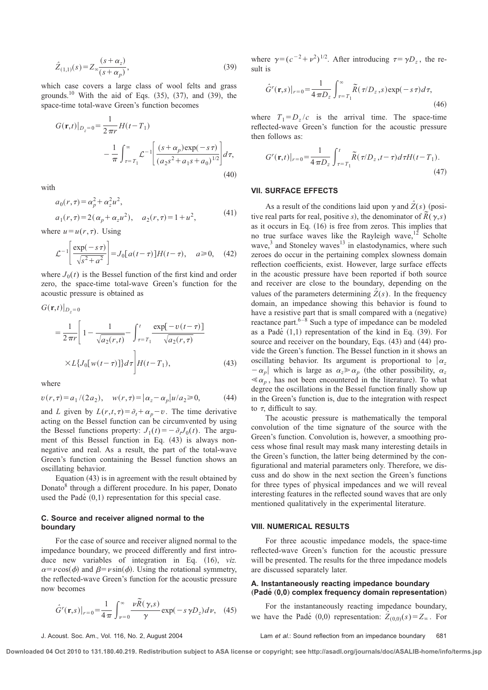$$
\hat{Z}_{(1,1)}(s) = Z_{\infty} \frac{(s + \alpha_z)}{(s + \alpha_p)},
$$
\n(39)

which case covers a large class of wool felts and grass grounds.<sup>10</sup> With the aid of Eqs.  $(35)$ ,  $(37)$ , and  $(39)$ , the space-time total-wave Green's function becomes

$$
G(\mathbf{r},t)|_{D_z=0} = \frac{1}{2\pi r} H(t - T_1)
$$

$$
- \frac{1}{\pi} \int_{\tau=T_1}^{\infty} \mathcal{L}^{-1} \left[ \frac{(s + \alpha_p) \exp(-s\tau)}{(a_2 s^2 + a_1 s + a_0)^{1/2}} \right] d\tau,
$$
(40)

with

$$
a_0(r,\tau) = \alpha_p^2 + \alpha_z^2 u^2,
$$
  
\n
$$
a_1(r,\tau) = 2(\alpha_p + \alpha_z u^2), \quad a_2(r,\tau) = 1 + u^2,
$$
\n(41)

where  $u = u(r, \tau)$ . Using

$$
\mathcal{L}^{-1}\left[\frac{\exp(-s\tau)}{\sqrt{s^2+a^2}}\right] = J_0[a(t-\tau)]H(t-\tau), \quad a \ge 0, \quad (42)
$$

where  $J_0(t)$  is the Bessel function of the first kind and order zero, the space-time total-wave Green's function for the acoustic pressure is obtained as

$$
G(\mathbf{r},t)|_{D_z=0}
$$
  
=  $\frac{1}{2\pi r} \left[ 1 - \frac{1}{\sqrt{a_2(r,t)}} - \int_{\tau=T_1}^t \frac{\exp[-v(t-\tau)]}{\sqrt{a_2(r,\tau)}} \right]$   

$$
\times L\{J_0[w(t-\tau)]\}d\tau \left] H(t-T_1), \tag{43}
$$

where

$$
v(r,\tau) = a_1/(2a_2), \quad w(r,\tau) = |\alpha_z - \alpha_p| u/a_2 \ge 0,
$$
 (44)

and *L* given by  $L(r,t,\tau) = \partial_t + \alpha_p - v$ . The time derivative acting on the Bessel function can be circumvented by using the Bessel functions property:  $J_1(t) = -\partial_t J_0(t)$ . The argument of this Bessel function in Eq.  $(43)$  is always nonnegative and real. As a result, the part of the total-wave Green's function containing the Bessel function shows an oscillating behavior.

Equation  $(43)$  is in agreement with the result obtained by Donato<sup>8</sup> through a different procedure. In his paper, Donato used the Padé  $(0,1)$  representation for this special case.

## **C. Source and receiver aligned normal to the boundary**

For the case of source and receiver aligned normal to the impedance boundary, we proceed differently and first introduce new variables of integration in Eq. (16), *viz.*  $\alpha = \nu \cos(\phi)$  and  $\beta = \nu \sin(\phi)$ . Using the rotational symmetry, the reflected-wave Green's function for the acoustic pressure now becomes

$$
\hat{G}^r(\mathbf{r},s)|_{r=0} = \frac{1}{4\pi} \int_{\nu=0}^{\infty} \frac{\nu \widetilde{R}(\gamma,s)}{\gamma} \exp(-s\,\gamma D_z) d\nu, \quad (45)
$$

where  $\gamma = (c^{-2} + \nu^2)^{1/2}$ . After introducing  $\tau = \gamma D_z$ , the result is

$$
\hat{G}^r(\mathbf{r},s)|_{r=0} = \frac{1}{4\pi D_z} \int_{\tau=T_1}^{\infty} \tilde{R}(\tau/D_z, s) \exp(-s\tau) d\tau,
$$
\n(46)

where  $T_1 = D_z/c$  is the arrival time. The space-time reflected-wave Green's function for the acoustic pressure then follows as:

$$
G^{r}(\mathbf{r},t)|_{r=0} = \frac{1}{4 \pi D_{z}} \int_{\tau=T_{1}}^{t} \tilde{R}(\tau/D_{z}, t-\tau) d\tau H(t-T_{1}).
$$
\n(47)

### **VII. SURFACE EFFECTS**

As a result of the conditions laid upon  $\gamma$  and  $\hat{Z}(s)$  (positive real parts for real, positive *s*), the denominator of  $\overline{R}(\gamma, s)$ as it occurs in Eq.  $(16)$  is free from zeros. This implies that no true surface waves like the Rayleigh wave, $12$  Scholte wave,<sup>3</sup> and Stoneley waves<sup>13</sup> in elastodynamics, where such zeroes do occur in the pertaining complex slowness domain reflection coefficients, exist. However, large surface effects in the acoustic pressure have been reported if both source and receiver are close to the boundary, depending on the values of the parameters determining  $\hat{Z}(s)$ . In the frequency domain, an impedance showing this behavior is found to have a resistive part that is small compared with a (negative) reactance part. $6-8$  Such a type of impedance can be modeled as a Padé  $(1,1)$  representation of the kind in Eq.  $(39)$ . For source and receiver on the boundary, Eqs.  $(43)$  and  $(44)$  provide the Green's function. The Bessel function in it shows an oscillating behavior. Its argument is proportional to  $\alpha_z$  $-\alpha_p$  which is large as  $\alpha_z \gg \alpha_p$  (the other possibility,  $\alpha_z$  $\ll \alpha_p$ , has not been encountered in the literature). To what degree the oscillations in the Bessel function finally show up in the Green's function is, due to the integration with respect to  $\tau$ , difficult to say.

The acoustic pressure is mathematically the temporal convolution of the time signature of the source with the Green's function. Convolution is, however, a smoothing process whose final result may mask many interesting details in the Green's function, the latter being determined by the configurational and material parameters only. Therefore, we discuss and do show in the next section the Green's functions for three types of physical impedances and we will reveal interesting features in the reflected sound waves that are only mentioned qualitatively in the experimental literature.

#### **VIII. NUMERICAL RESULTS**

For three acoustic impedance models, the space-time reflected-wave Green's function for the acoustic pressure will be presented. The results for the three impedance models are discussed separately later.

#### **A. Instantaneously reacting impedance boundary**  $(Padé (0,0)$  complex frequency domain representation)

For the instantaneously reacting impedance boundary, we have the Padé<sup>(0,0)</sup> representation:  $\hat{Z}_{(0,0)}(s) = Z_{\infty}$ . For

J. Acoust. Soc. Am., Vol. 116, No. 2, August 2004 Lam et al.: Sound reflection from an impedance boundary 681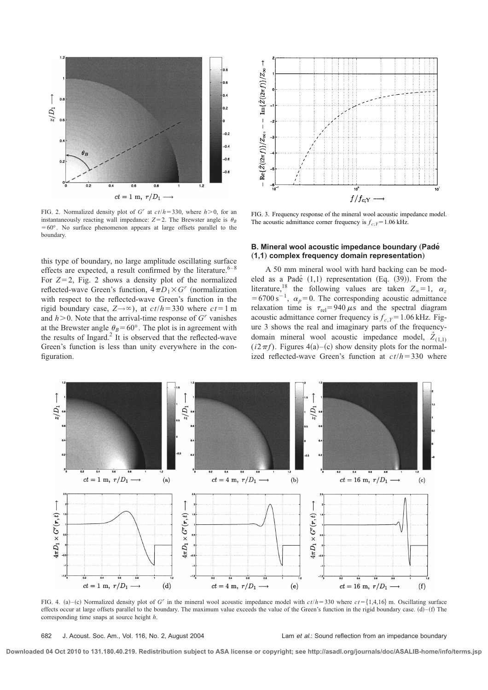

FIG. 2. Normalized density plot of  $G<sup>r</sup>$  at  $ct/h = 330$ , where  $h > 0$ , for an instantaneously reacting wall impedance:  $Z=2$ . The Brewster angle is  $\theta_B$  $=60^\circ$ . No surface phenomenon appears at large offsets parallel to the boundary.

this type of boundary, no large amplitude oscillating surface effects are expected, a result confirmed by the literature. $6-8$ For  $Z=2$ , Fig. 2 shows a density plot of the normalized reflected-wave Green's function,  $4\pi D_1 \times G^r$  (normalization with respect to the reflected-wave Green's function in the rigid boundary case,  $Z \rightarrow \infty$ ), at  $ct/h = 330$  where  $ct = 1$  m and  $h > 0$ . Note that the arrival-time response of  $G<sup>r</sup>$  vanishes at the Brewster angle  $\theta_B = 60^\circ$ . The plot is in agreement with the results of Ingard. $2$  It is observed that the reflected-wave Green's function is less than unity everywhere in the configuration.



FIG. 3. Frequency response of the mineral wool acoustic impedance model. The acoustic admittance corner frequency is  $f_{c:Y}$ = 1.06 kHz.

## **B. Mineral wool acoustic impedance boundary (Padé** (1,1) complex frequency domain representation)

A 50 mm mineral wool with hard backing can be modeled as a Padé  $(1,1)$  representation  $(Eq. (39))$ . From the literature,<sup>18</sup> the following values are taken  $Z_{\infty} = 1$ ,  $\alpha_z$  $=6700 \text{ s}^{-1}$ ,  $\alpha_p=0$ . The corresponding acoustic admittance relaxation time is  $\tau_{\text{rel}}=940 \mu s$  and the spectral diagram acoustic admittance corner frequency is  $f_{c,Y}$ = 1.06 kHz. Figure 3 shows the real and imaginary parts of the frequencydomain mineral wool acoustic impedance model,  $\hat{Z}_{(1,1)}$  $(i2 \pi f)$ . Figures 4(a)–(c) show density plots for the normalized reflected-wave Green's function at  $ct/h = 330$  where



FIG. 4. (a)–(c) Normalized density plot of *G*<sup>r</sup> in the mineral wool acoustic impedance model with  $ct/h = 330$  where  $ct = \{1,4,16\}$  m. Oscillating surface effects occur at large offsets parallel to the boundary. The maximum value exceeds the value of the Green's function in the rigid boundary case.  $(d)$ – $(f)$  The corresponding time snaps at source height *h*.

682 J. Acoust. Soc. Am., Vol. 116, No. 2, August 2004 Lam et al.: Sound reflection from an impedance boundary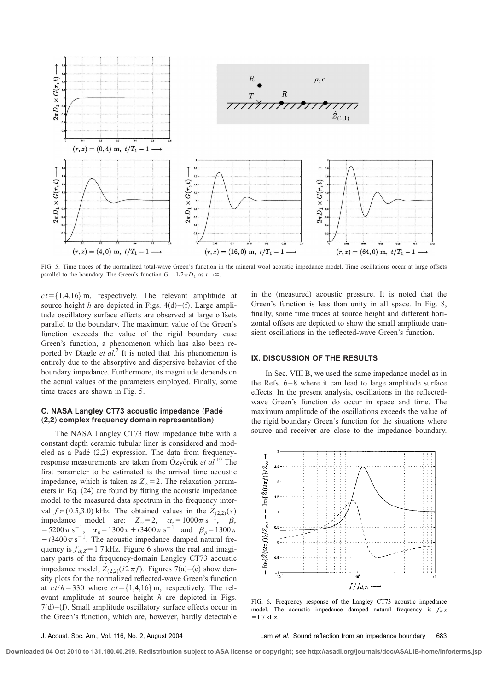

FIG. 5. Time traces of the normalized total-wave Green's function in the mineral wool acoustic impedance model. Time oscillations occur at large offsets parallel to the boundary. The Green's function  $G \rightarrow 1/2\pi D_1$  as  $t \rightarrow \infty$ .

 $ct = \{1,4,16\}$  m, respectively. The relevant amplitude at source height *h* are depicted in Figs.  $4(d)–(f)$ . Large amplitude oscillatory surface effects are observed at large offsets parallel to the boundary. The maximum value of the Green's function exceeds the value of the rigid boundary case Green's function, a phenomenon which has also been reported by Diagle *et al.*<sup>7</sup> It is noted that this phenomenon is entirely due to the absorptive and dispersive behavior of the boundary impedance. Furthermore, its magnitude depends on the actual values of the parameters employed. Finally, some time traces are shown in Fig. 5.

## **C. NASA Langley CT73 acoustic impedance (Padé**  $(2,2)$  complex frequency domain representation)

The NASA Langley CT73 flow impedance tube with a constant depth ceramic tubular liner is considered and modeled as a Padé  $(2,2)$  expression. The data from frequencyresponse measurements are taken from Özyörük et al.<sup>19</sup> The first parameter to be estimated is the arrival time acoustic impedance, which is taken as  $Z_{\infty} = 2$ . The relaxation parameters in Eq.  $(24)$  are found by fitting the acoustic impedance model to the measured data spectrum in the frequency interval  $f \in (0.5,3.0)$  kHz. The obtained values in the  $\hat{Z}_{(2,2)}(s)$ impedance model are:  $Z_{\infty} = 2$ ,  $\alpha_z = 1000\pi s^{-1}$ ,  $\beta_z$  $= 5200 \pi s^{-1}$ ,  $\alpha_p = 1300 \pi + i3400 \pi s^{-1}$  and  $\beta_p = 1300 \pi$  $-i3400\pi s^{-1}$ . The acoustic impedance damped natural frequency is  $f_{d:Z}$ = 1.7 kHz. Figure 6 shows the real and imaginary parts of the frequency-domain Langley CT73 acoustic impedance model,  $\hat{Z}_{(2,2)}(i2\pi f)$ . Figures 7(a)–(c) show density plots for the normalized reflected-wave Green's function at  $ct/h = 330$  where  $ct = \{1,4,16\}$  m, respectively. The relevant amplitude at source height *h* are depicted in Figs.  $7(d)$ – $(f)$ . Small amplitude oscillatory surface effects occur in the Green's function, which are, however, hardly detectable

in the (measured) acoustic pressure. It is noted that the Green's function is less than unity in all space. In Fig. 8, finally, some time traces at source height and different horizontal offsets are depicted to show the small amplitude transient oscillations in the reflected-wave Green's function.

## **IX. DISCUSSION OF THE RESULTS**

In Sec. VIII B, we used the same impedance model as in the Refs.  $6-8$  where it can lead to large amplitude surface effects. In the present analysis, oscillations in the reflectedwave Green's function do occur in space and time. The maximum amplitude of the oscillations exceeds the value of the rigid boundary Green's function for the situations where source and receiver are close to the impedance boundary.



FIG. 6. Frequency response of the Langley CT73 acoustic impedance model. The acoustic impedance damped natural frequency is  $f_{dZ}$  $=1.7$  kHz

J. Acoust. Soc. Am., Vol. 116, No. 2, August 2004 Lam et al.: Sound reflection from an impedance boundary 683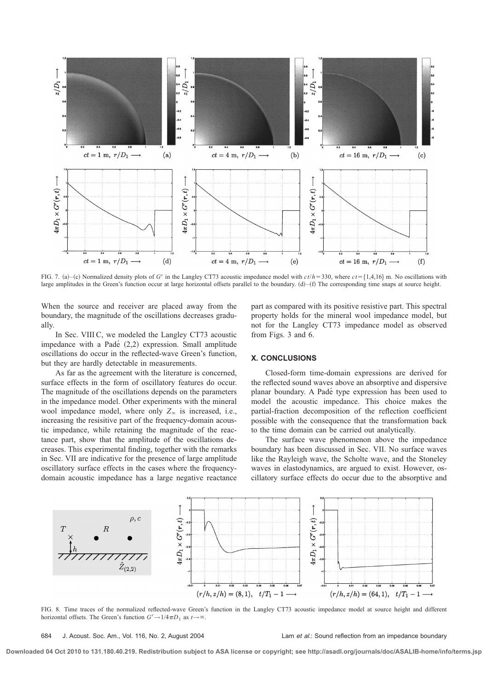

FIG. 7. (a)–(c) Normalized density plots of *G*<sup>r</sup> in the Langley CT73 acoustic impedance model with  $ct/h = 330$ , where  $ct = \{1,4,16\}$  m. No oscillations with large amplitudes in the Green's function occur at large horizontal offsets parallel to the boundary.  $(d)$ – $(f)$  The corresponding time snaps at source height.

When the source and receiver are placed away from the boundary, the magnitude of the oscillations decreases gradually.

In Sec. VIII C, we modeled the Langley CT73 acoustic impedance with a Padé  $(2,2)$  expression. Small amplitude oscillations do occur in the reflected-wave Green's function, but they are hardly detectable in measurements.

As far as the agreement with the literature is concerned, surface effects in the form of oscillatory features do occur. The magnitude of the oscillations depends on the parameters in the impedance model. Other experiments with the mineral wool impedance model, where only  $Z_{\infty}$  is increased, i.e., increasing the resisitive part of the frequency-domain acoustic impedance, while retaining the magnitude of the reactance part, show that the amplitude of the oscillations decreases. This experimental finding, together with the remarks in Sec. VII are indicative for the presence of large amplitude oscillatory surface effects in the cases where the frequencydomain acoustic impedance has a large negative reactance part as compared with its positive resistive part. This spectral property holds for the mineral wool impedance model, but not for the Langley CT73 impedance model as observed from Figs. 3 and 6.

## **X. CONCLUSIONS**

Closed-form time-domain expressions are derived for the reflected sound waves above an absorptive and dispersive planar boundary. A Pade´ type expression has been used to model the acoustic impedance. This choice makes the partial-fraction decomposition of the reflection coefficient possible with the consequence that the transformation back to the time domain can be carried out analytically.

The surface wave phenomenon above the impedance boundary has been discussed in Sec. VII. No surface waves like the Rayleigh wave, the Scholte wave, and the Stoneley waves in elastodynamics, are argued to exist. However, oscillatory surface effects do occur due to the absorptive and



FIG. 8. Time traces of the normalized reflected-wave Green's function in the Langley CT73 acoustic impedance model at source height and different horizontal offsets. The Green's function  $G^r \rightarrow 1/4\pi D_1$  as  $t \rightarrow \infty$ .

684 J. Acoust. Soc. Am., Vol. 116, No. 2, August 2004 Lam et al.: Sound reflection from an impedance boundary